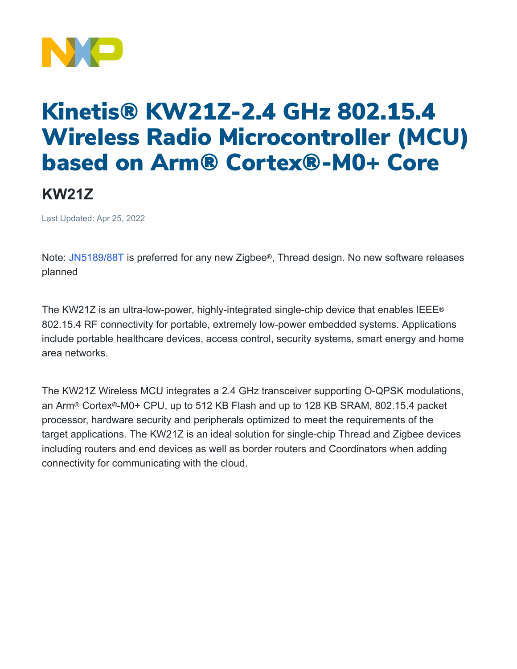

## Kinetis® KW21Z-2.4 GHz 802.15.4 Wireless Radio Microcontroller (MCU) based on Arm® Cortex®-M0+ Core

## **KW21Z**

Last Updated: Apr 25, 2022

Note: [JN5189/88T](https://www.nxp.com/products/wireless/thread/jn5189-88-t-high-performance-and-ultra-low-power-mcus-for-zigbee-and-thread-with-built-in-nfc-option:JN5189_88_T) is preferred for any new Zigbee®, Thread design. No new software releases planned

The KW21Z is an ultra-low-power, highly-integrated single-chip device that enables IEEE® 802.15.4 RF connectivity for portable, extremely low-power embedded systems. Applications include portable healthcare devices, access control, security systems, smart energy and home area networks.

The KW21Z Wireless MCU integrates a 2.4 GHz transceiver supporting O-QPSK modulations, an Arm® Cortex®-M0+ CPU, up to 512 KB Flash and up to 128 KB SRAM, 802.15.4 packet processor, hardware security and peripherals optimized to meet the requirements of the target applications. The KW21Z is an ideal solution for single-chip Thread and Zigbee devices including routers and end devices as well as border routers and Coordinators when adding connectivity for communicating with the cloud.